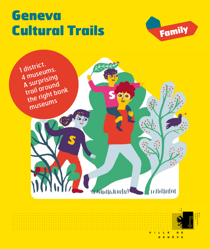# **Geneva** Cultural Trails Family





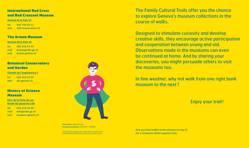### International Red Cross and Red Crescent Museum

**Avenue de la Paix 17**

tel 022 748 95 11 web redcrossmuseum.ch

#### The Ariana Museum

**Avenue de la Paix 10**

tel 022 418 54 50 mail ariana@ville-ge.ch web ariana-geneve.ch

### Botanical Conservatory and Garden

**Chemin de l'Impératrice 1**

tel 022 418 51 00 web cjb-geneve.ch

### History of Science Museum

**Parc de la Perle du Lac Route de Lausanne 128**

tél 022 418 50 60 mail mhs@ville-ge.ch web museum-geneve.ch



**Illustrations :** Mirjana Farkas **Conception graphique :** ATHOMAS – CHAT&SA

Fond de plan reproduit avec l'autorisation du Service de la mensuration officielle (n0 40/2013 du 31 juillet 2013)

The Family Cultural Trails offer you the chance to explore Geneva's museum collections in the course of walks.

Designed to stimulate curiosity and develop creative skills, they encourage active participation and cooperation between young and old. Observations made in the museums can even be continued at home. And by sharing your discoveries, you might persuade others to visit the museums too.

### In fine weather, why not walk from one right bank museum to the next ?

### Enjoy your trail!

Pick up a free leaflet at the entrance to any of the 4 museums (while supplies last).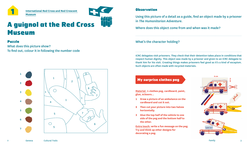

**International Red Cross and Red Crescent Museum** 



## A guignol at the Red Cross Museum

### Puzzle

What does this picture show? To find out, colour it in following the number code



### **Observation**

Using this picture of a detail as a guide, find an object made by a prisoner in *The Humanitarian Adventure*.

Where does this object come from and when was it made ?

### What's the character holding?

ICRC delegates visit prisoners. They check that their detention takes place in conditions that respect human dignity. This object was made by a prisoner and given to an ICRC delegate to thank him for his visit. Creating things makes prisoners feel good as it's a kind of escapism. Such objects are often made with recycled materials.

### My surprise clothes peg

**Material : 1 clothes peg, cardboard, paint, glue, scissors...**

- **1 Draw a picture of an ambulance on the cardboard and cut it out.**
- **2 Then cut your picture into two halves horizontally.**
- **3 Glue the top half of the vehicle to one side of the peg and the bottom half to the other.**

**Extra touch : write a fun message on the peg. Try and think up other designs for decorating a peg.**



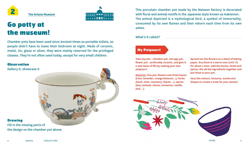



### Go potty at the museum!

Chamber pots have been used since Ancient times as portable toilets, so people didn't have to leave their bedroom at night. Made of ceramic, metal, tin, glass or silver, they were mainly reserved for the privileged classes. They're not often used today, except for very small children.

#### **Observation**

Gallery 6, showcase 6

#### **Drawing**

Fill in the missing parts of the design on the chamber pot above. This porcelain chamber pot made by the Meissen factory is decorated with floral and animal motifs in the Japanese style known as Kakiemon. The animal depicted is a mythological bird, a symbol of immortality, consumed by its own flames and then reborn each time from its own ashes.

What's it called?

### My Potpourri

**Take any pot - chamber pot, storage pot, flower pot - preferably ceramic, and give it a new lease of life by making your own potpourri.**

**Material : One pot, flowers and dried leaves (rose, lavender, orange blossom...), herbs (basil, mint, rosemary, thyme ...), spices (star aniseed, cloves, cinnamon, vanilla pod….)**

**Spread out the flowers on a sheet of baking paper. Dry them in a warm oven (140 °C) for about 1 hour. Add the leaves, herbs and spices. Mix all the ingredients together and put them in your pot.**

**Vary the colours, textures, scents and shapes to create a treat for your senses!**

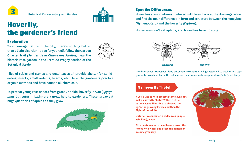

3 **Botanical Conservatory and Garden** 

### Hoverfly, the gardener's friend

### Exploration

To encourage nature in the city, there's nothing better than a little disorder! To see for yourself, follow the Garden Charter Trail *(Sentier de la Charte des Jardins)* near the historic rose garden in the Terre de Pregny section of the Botanical Garden.

Piles of sticks and stones and dead leaves all provide shelter for aphideating insects, small rodents, lizards, etc. Here, the gardeners practice organic methods and have banned all chemicals.

To protect young rose shoots from greedy aphids, hoverfly larvae (*Epysyrphus balteatus* in Latin) are a great help to gardeners. These larvae eat huge quantities of aphids as they grow.





Hoverflies are sometimes confused with bees. Look at the drawings below and find the main differences in form and structure between the honeybee *(Hymenoptera)* and the hoverfly *(Diptera)*.

Honeybees don't eat aphids, and hoverflies have no sting.



*Honeybee Hoverfly*

The differences : Honeyees : long antennae, two pairs of wings attached to each other, legs generally broad and hairy. Hoverflies : short antennae, only one pair of wings, legs not hairy.

### My hoverfly "hotel

**If you'd like to help protect plants, why not make a hoverfly "hotel"? With a little patience, you'll be able to observe the eggs, the growing larvae and then the flight of the adults.**

**Material : A container, dead leaves (maple, ash, lime), water** 

**Fill a container with dead leaves, cover the leaves with water and place the container in some greenery.**

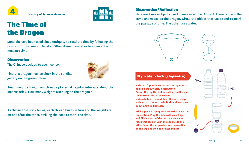



# the Dragon

Sundials have been used since Antiquity to read the time by following the position of the sun in the sky. Other items have also been invented to measure time.

### **Observation**

The Chinese decided to use incense.

Find this dragon incense clock in the sundial gallery on the ground floor.

Small weights hang from threads placed at regular intervals along the incense stick. How many weights are hung on the dragon ?

As the incense stick burns, each thread burns in turn and the weights fall off one after the other, striking the base to mark the time.

### Observation/Reflection

Here are 2 more objects used to measure time. At right, there is one in the same showcase as the dragon. Circle the object that uses sand to mark The Time of the passage of time. The other uses water.